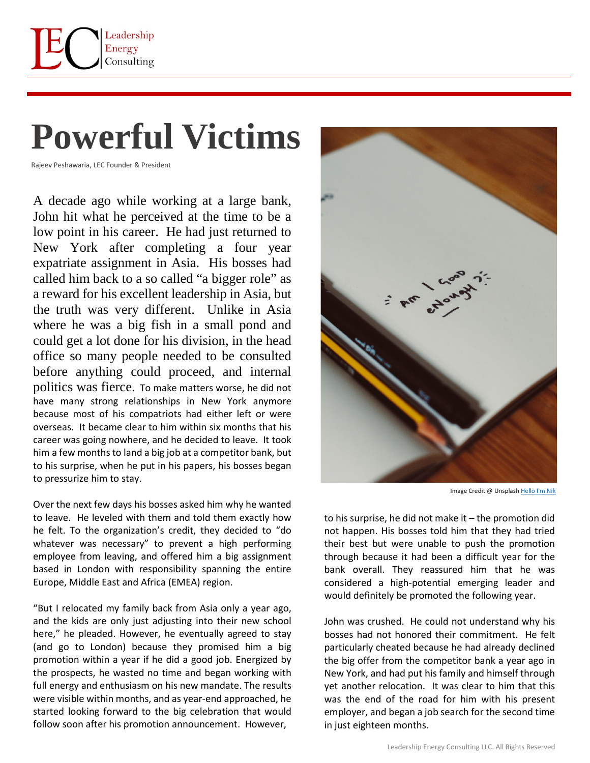

## **Powerful Victims**

Rajeev Peshawaria, LEC Founder & President

A decade ago while working at a large bank, John hit what he perceived at the time to be a low point in his career. He had just returned to New York after completing a four year expatriate assignment in Asia. His bosses had called him back to a so called "a bigger role" as a reward for his excellent leadership in Asia, but the truth was very different. Unlike in Asia where he was a big fish in a small pond and could get a lot done for his division, in the head office so many people needed to be consulted before anything could proceed, and internal politics was fierce. To make matters worse, he did not have many strong relationships in New York anymore because most of his compatriots had either left or were overseas. It became clear to him within six months that his career was going nowhere, and he decided to leave. It took him a few months to land a big job at a competitor bank, but to his surprise, when he put in his papers, his bosses began to pressurize him to stay.

Over the next few days his bosses asked him why he wanted to leave. He leveled with them and told them exactly how he felt. To the organization's credit, they decided to "do whatever was necessary" to prevent a high performing employee from leaving, and offered him a big assignment based in London with responsibility spanning the entire Europe, Middle East and Africa (EMEA) region.

"But I relocated my family back from Asia only a year ago, and the kids are only just adjusting into their new school here," he pleaded. However, he eventually agreed to stay (and go to London) because they promised him a big promotion within a year if he did a good job. Energized by the prospects, he wasted no time and began working with full energy and enthusiasm on his new mandate. The results were visible within months, and as year-end approached, he started looking forward to the big celebration that would follow soon after his promotion announcement. However,



Image Credit @ Unsplash [Hello I'm Nik](https://unsplash.com/photos/3xNn1zGvBwY)

to his surprise, he did not make it – the promotion did not happen. His bosses told him that they had tried their best but were unable to push the promotion through because it had been a difficult year for the bank overall. They reassured him that he was considered a high-potential emerging leader and would definitely be promoted the following year.

John was crushed. He could not understand why his bosses had not honored their commitment. He felt particularly cheated because he had already declined the big offer from the competitor bank a year ago in New York, and had put his family and himself through yet another relocation. It was clear to him that this was the end of the road for him with his present employer, and began a job search for the second time in just eighteen months.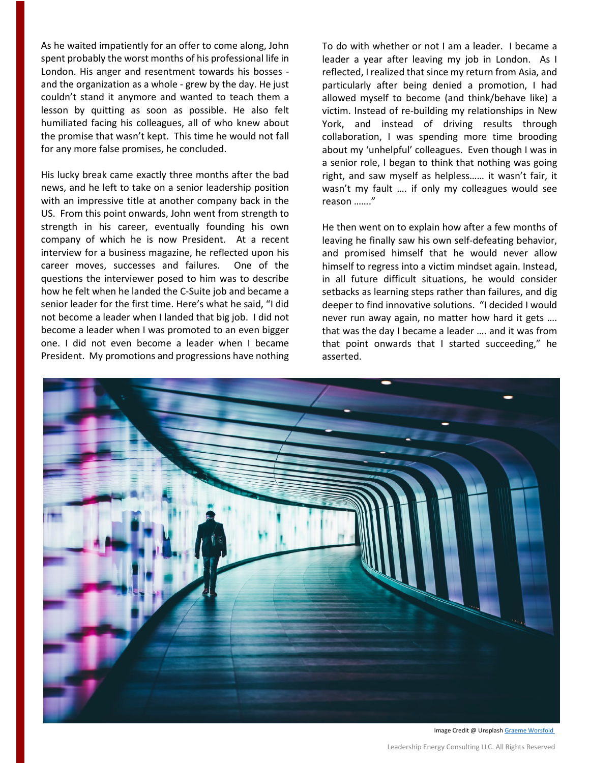As he waited impatiently for an offer to come along, John spent probably the worst months of his professional life in London. His anger and resentment towards his bosses and the organization as a whole - grew by the day. He just couldn't stand it anymore and wanted to teach them a lesson by quitting as soon as possible. He also felt humiliated facing his colleagues, all of who knew about the promise that wasn't kept. This time he would not fall for any more false promises, he concluded.

His lucky break came exactly three months after the bad news, and he left to take on a senior leadership position with an impressive title at another company back in the US. From this point onwards, John went from strength to strength in his career, eventually founding his own company of which he is now President. At a recent interview for a business magazine, he reflected upon his career moves, successes and failures. One of the questions the interviewer posed to him was to describe how he felt when he landed the C-Suite job and became a senior leader for the first time. Here's what he said, "I did not become a leader when I landed that big job. I did not become a leader when I was promoted to an even bigger one. I did not even become a leader when I became President. My promotions and progressions have nothing

To do with whether or not I am a leader. I became a leader a year after leaving my job in London. As I reflected, I realized that since my return from Asia, and particularly after being denied a promotion, I had allowed myself to become (and think/behave like) a victim. Instead of re-building my relationships in New York, and instead of driving results through collaboration, I was spending more time brooding about my 'unhelpful' colleagues. Even though I was in a senior role, I began to think that nothing was going right, and saw myself as helpless…… it wasn't fair, it wasn't my fault …. if only my colleagues would see reason ……."

He then went on to explain how after a few months of leaving he finally saw his own self-defeating behavior, and promised himself that he would never allow himself to regress into a victim mindset again. Instead, in all future difficult situations, he would consider setbacks as learning steps rather than failures, and dig deeper to find innovative solutions. "I decided I would never run away again, no matter how hard it gets …. that was the day I became a leader …. and it was from that point onwards that I started succeeding," he asserted.



Image Credit @ Unsplash [Graeme Worsfold](https://unsplash.com/photos/324nknuhxDg)